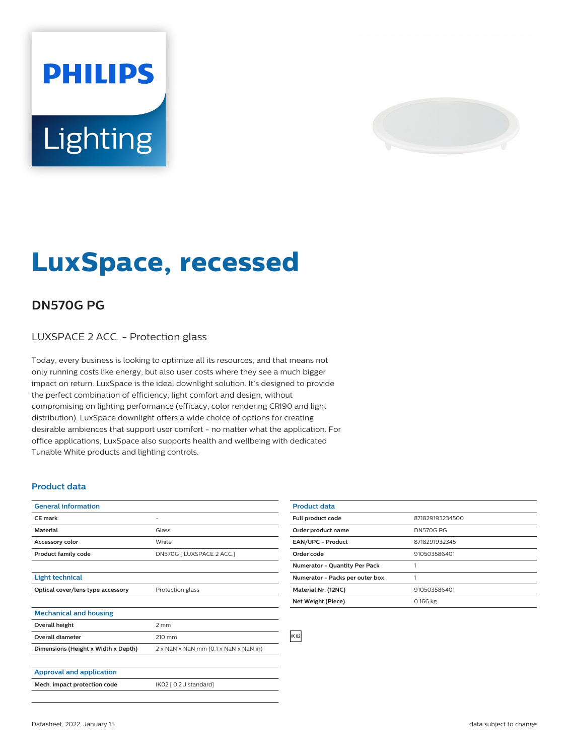## **PHILIPS** Lighting



## **LuxSpace, recessed**

## **DN570G PG**

LUXSPACE 2 ACC. - Protection glass

Today, every business is looking to optimize all its resources, and that means not only running costs like energy, but also user costs where they see a much bigger impact on return. LuxSpace is the ideal downlight solution. It's designed to provide the perfect combination of efficiency, light comfort and design, without compromising on lighting performance (efficacy, color rendering CRI90 and light distribution). LuxSpace downlight offers a wide choice of options for creating desirable ambiences that support user comfort - no matter what the application. For office applications, LuxSpace also supports health and wellbeing with dedicated Tunable White products and lighting controls.

## **Product data**

| <b>General information</b>          |                                       |
|-------------------------------------|---------------------------------------|
| <b>CE</b> mark                      |                                       |
| <b>Material</b>                     | Glass                                 |
| <b>Accessory color</b>              | White                                 |
| <b>Product family code</b>          | DN570G   LUXSPACE 2 ACC.]             |
|                                     |                                       |
| <b>Light technical</b>              |                                       |
| Optical cover/lens type accessory   | Protection glass                      |
|                                     |                                       |
| <b>Mechanical and housing</b>       |                                       |
| Overall height                      | 2 mm                                  |
| <b>Overall diameter</b>             | 210 mm                                |
| Dimensions (Height x Width x Depth) | 2 x NaN x NaN mm (0.1 x NaN x NaN in) |
|                                     |                                       |
| <b>Approval and application</b>     |                                       |
| Mech. impact protection code        | IK02 [ 0.2 J standard]                |
|                                     |                                       |

| <b>Product data</b>                  |                  |
|--------------------------------------|------------------|
| Full product code                    | 871829193234500  |
| Order product name                   | <b>DN570G PG</b> |
| <b>EAN/UPC - Product</b>             | 8718291932345    |
| Order code                           | 910503586401     |
| <b>Numerator - Quantity Per Pack</b> |                  |
| Numerator - Packs per outer box      |                  |
| Material Nr. (12NC)                  | 910503586401     |
| Net Weight (Piece)                   | 0.166 kg         |
|                                      |                  |

**IK 02**